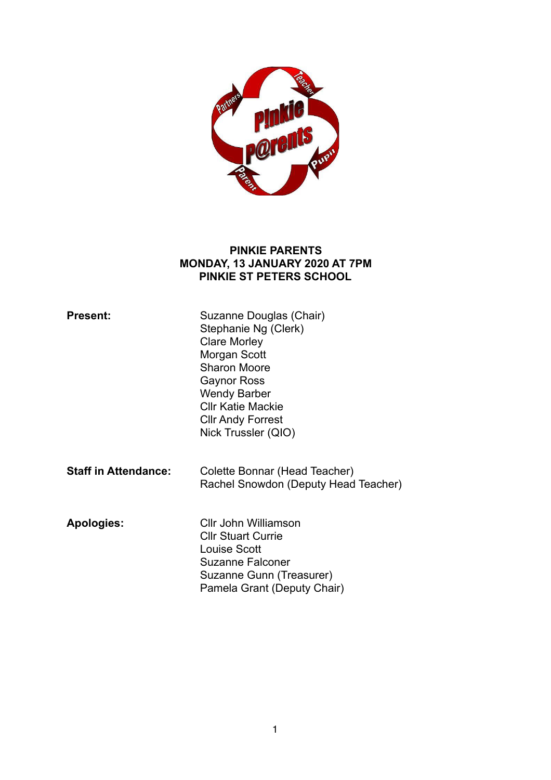

#### **PINKIE PARENTS MONDAY, 13 JANUARY 2020 AT 7PM PINKIE ST PETERS SCHOOL**

| <b>Present:</b>             | Suzanne Douglas (Chair)<br>Stephanie Ng (Clerk)<br><b>Clare Morley</b><br>Morgan Scott<br><b>Sharon Moore</b><br>Gaynor Ross<br><b>Wendy Barber</b><br><b>CIIr Katie Mackie</b><br><b>CIIr Andy Forrest</b><br>Nick Trussler (QIO) |
|-----------------------------|------------------------------------------------------------------------------------------------------------------------------------------------------------------------------------------------------------------------------------|
| <b>Staff in Attendance:</b> | Colette Bonnar (Head Teacher)<br>Rachel Snowdon (Deputy Head Teacher)                                                                                                                                                              |
| <b>Apologies:</b>           | Cllr John Williamson<br><b>CIIr Stuart Currie</b><br>Louise Scott<br>Suzanne Falconer<br>Suzanne Gunn (Treasurer)<br>Pamela Grant (Deputy Chair)                                                                                   |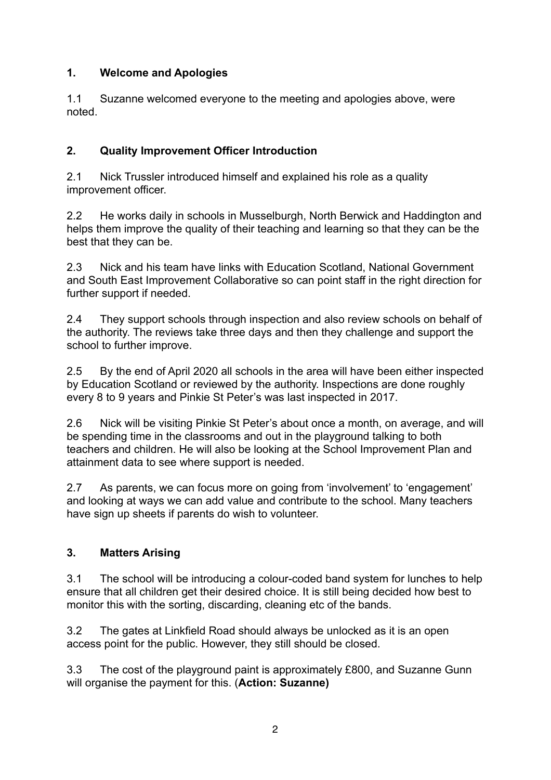# **1. Welcome and Apologies**

1.1 Suzanne welcomed everyone to the meeting and apologies above, were noted.

# **2. Quality Improvement Officer Introduction**

2.1 Nick Trussler introduced himself and explained his role as a quality improvement officer.

2.2 He works daily in schools in Musselburgh, North Berwick and Haddington and helps them improve the quality of their teaching and learning so that they can be the best that they can be.

2.3 Nick and his team have links with Education Scotland, National Government and South East Improvement Collaborative so can point staff in the right direction for further support if needed.

2.4 They support schools through inspection and also review schools on behalf of the authority. The reviews take three days and then they challenge and support the school to further improve.

2.5 By the end of April 2020 all schools in the area will have been either inspected by Education Scotland or reviewed by the authority. Inspections are done roughly every 8 to 9 years and Pinkie St Peter's was last inspected in 2017.

2.6 Nick will be visiting Pinkie St Peter's about once a month, on average, and will be spending time in the classrooms and out in the playground talking to both teachers and children. He will also be looking at the School Improvement Plan and attainment data to see where support is needed.

2.7 As parents, we can focus more on going from 'involvement' to 'engagement' and looking at ways we can add value and contribute to the school. Many teachers have sign up sheets if parents do wish to volunteer.

# **3. Matters Arising**

3.1 The school will be introducing a colour-coded band system for lunches to help ensure that all children get their desired choice. It is still being decided how best to monitor this with the sorting, discarding, cleaning etc of the bands.

3.2 The gates at Linkfield Road should always be unlocked as it is an open access point for the public. However, they still should be closed.

3.3 The cost of the playground paint is approximately £800, and Suzanne Gunn will organise the payment for this. (**Action: Suzanne)**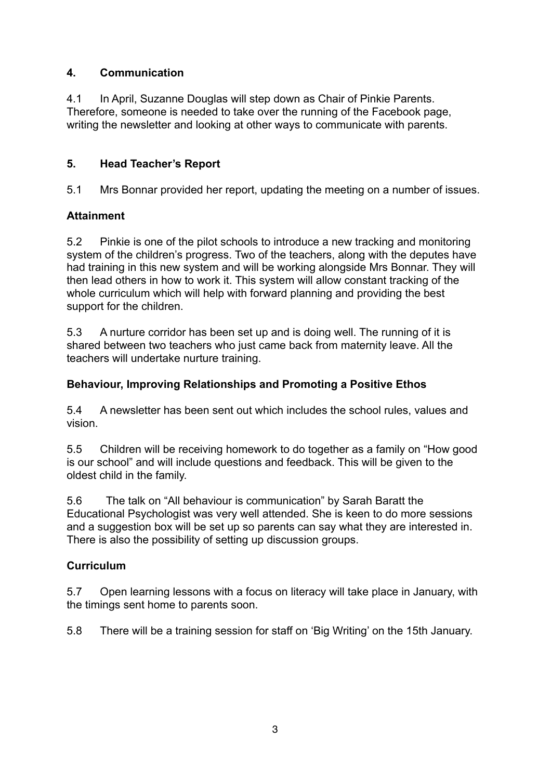### **4. Communication**

4.1 In April, Suzanne Douglas will step down as Chair of Pinkie Parents. Therefore, someone is needed to take over the running of the Facebook page, writing the newsletter and looking at other ways to communicate with parents.

### **5. Head Teacher's Report**

5.1 Mrs Bonnar provided her report, updating the meeting on a number of issues.

### **Attainment**

5.2 Pinkie is one of the pilot schools to introduce a new tracking and monitoring system of the children's progress. Two of the teachers, along with the deputes have had training in this new system and will be working alongside Mrs Bonnar. They will then lead others in how to work it. This system will allow constant tracking of the whole curriculum which will help with forward planning and providing the best support for the children.

5.3 A nurture corridor has been set up and is doing well. The running of it is shared between two teachers who just came back from maternity leave. All the teachers will undertake nurture training.

### **Behaviour, Improving Relationships and Promoting a Positive Ethos**

5.4 A newsletter has been sent out which includes the school rules, values and vision.

5.5 Children will be receiving homework to do together as a family on "How good is our school" and will include questions and feedback. This will be given to the oldest child in the family.

5.6 The talk on "All behaviour is communication" by Sarah Baratt the Educational Psychologist was very well attended. She is keen to do more sessions and a suggestion box will be set up so parents can say what they are interested in. There is also the possibility of setting up discussion groups.

# **Curriculum**

5.7 Open learning lessons with a focus on literacy will take place in January, with the timings sent home to parents soon.

5.8 There will be a training session for staff on 'Big Writing' on the 15th January.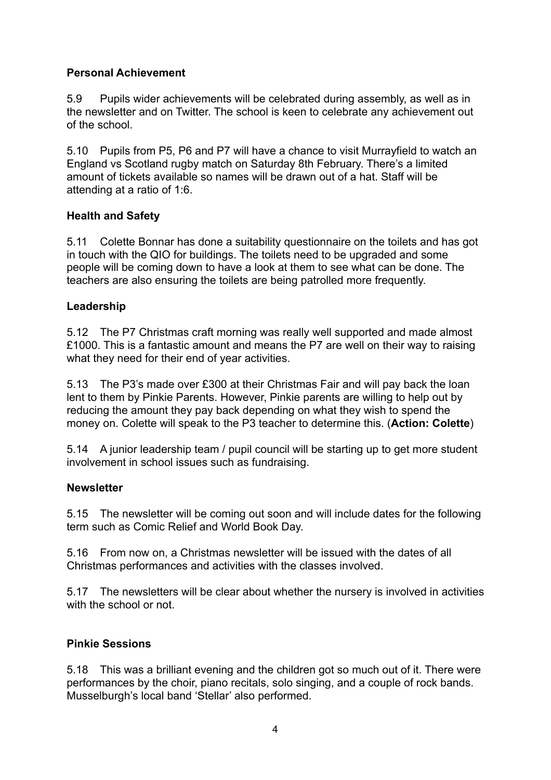### **Personal Achievement**

5.9 Pupils wider achievements will be celebrated during assembly, as well as in the newsletter and on Twitter. The school is keen to celebrate any achievement out of the school.

5.10 Pupils from P5, P6 and P7 will have a chance to visit Murrayfield to watch an England vs Scotland rugby match on Saturday 8th February. There's a limited amount of tickets available so names will be drawn out of a hat. Staff will be attending at a ratio of 1:6.

### **Health and Safety**

5.11 Colette Bonnar has done a suitability questionnaire on the toilets and has got in touch with the QIO for buildings. The toilets need to be upgraded and some people will be coming down to have a look at them to see what can be done. The teachers are also ensuring the toilets are being patrolled more frequently.

### **Leadership**

5.12 The P7 Christmas craft morning was really well supported and made almost £1000. This is a fantastic amount and means the P7 are well on their way to raising what they need for their end of year activities.

5.13 The P3's made over £300 at their Christmas Fair and will pay back the loan lent to them by Pinkie Parents. However, Pinkie parents are willing to help out by reducing the amount they pay back depending on what they wish to spend the money on. Colette will speak to the P3 teacher to determine this. (**Action: Colette**)

5.14 A junior leadership team / pupil council will be starting up to get more student involvement in school issues such as fundraising.

### **Newsletter**

5.15 The newsletter will be coming out soon and will include dates for the following term such as Comic Relief and World Book Day.

5.16 From now on, a Christmas newsletter will be issued with the dates of all Christmas performances and activities with the classes involved.

5.17 The newsletters will be clear about whether the nursery is involved in activities with the school or not.

### **Pinkie Sessions**

5.18 This was a brilliant evening and the children got so much out of it. There were performances by the choir, piano recitals, solo singing, and a couple of rock bands. Musselburgh's local band 'Stellar' also performed.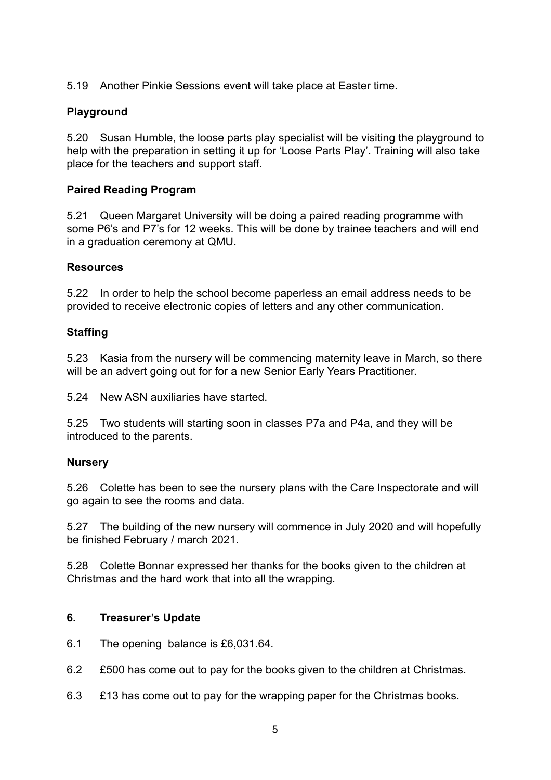5.19 Another Pinkie Sessions event will take place at Easter time.

### **Playground**

5.20 Susan Humble, the loose parts play specialist will be visiting the playground to help with the preparation in setting it up for 'Loose Parts Play'. Training will also take place for the teachers and support staff.

### **Paired Reading Program**

5.21 Queen Margaret University will be doing a paired reading programme with some P6's and P7's for 12 weeks. This will be done by trainee teachers and will end in a graduation ceremony at QMU.

#### **Resources**

5.22 In order to help the school become paperless an email address needs to be provided to receive electronic copies of letters and any other communication.

#### **Staffing**

5.23 Kasia from the nursery will be commencing maternity leave in March, so there will be an advert going out for for a new Senior Early Years Practitioner.

5.24 New ASN auxiliaries have started.

5.25 Two students will starting soon in classes P7a and P4a, and they will be introduced to the parents.

### **Nursery**

5.26 Colette has been to see the nursery plans with the Care Inspectorate and will go again to see the rooms and data.

5.27 The building of the new nursery will commence in July 2020 and will hopefully be finished February / march 2021.

5.28 Colette Bonnar expressed her thanks for the books given to the children at Christmas and the hard work that into all the wrapping.

#### **6. Treasurer's Update**

- 6.1 The opening balance is £6,031.64.
- 6.2 £500 has come out to pay for the books given to the children at Christmas.
- 6.3 £13 has come out to pay for the wrapping paper for the Christmas books.